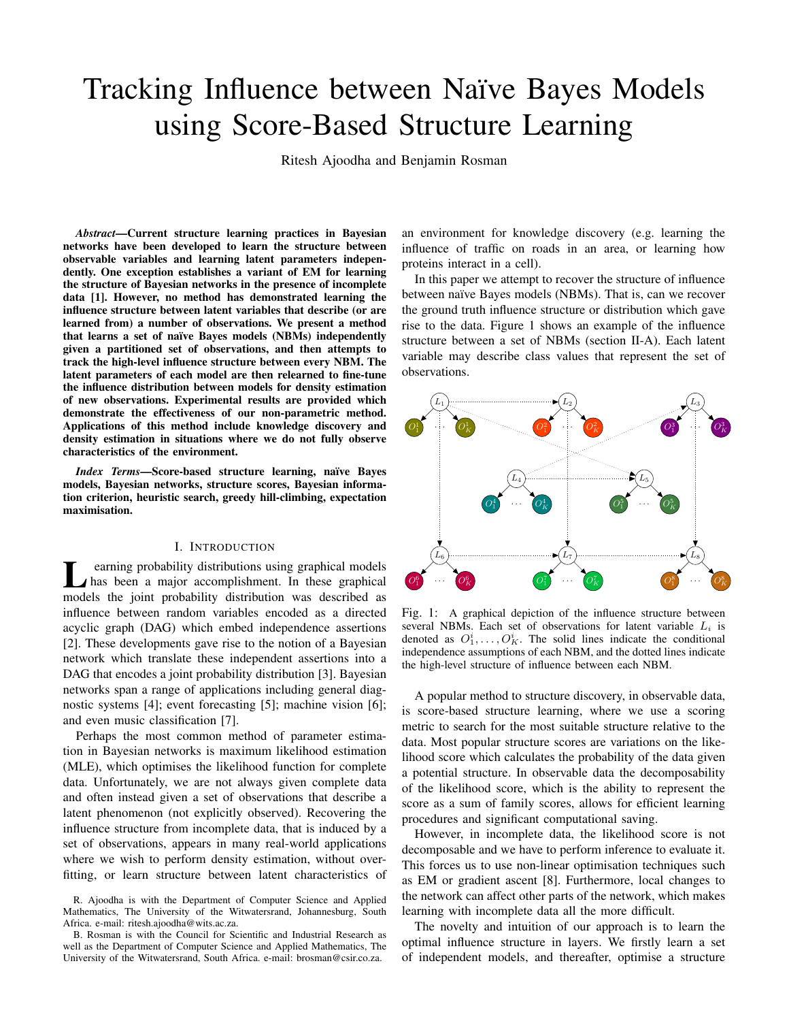# Tracking Influence between Naïve Bayes Models using Score-Based Structure Learning

Ritesh Ajoodha and Benjamin Rosman

*Abstract*—Current structure learning practices in Bayesian networks have been developed to learn the structure between observable variables and learning latent parameters independently. One exception establishes a variant of EM for learning the structure of Bayesian networks in the presence of incomplete data [1]. However, no method has demonstrated learning the influence structure between latent variables that describe (or are learned from) a number of observations. We present a method that learns a set of naïve Bayes models (NBMs) independently given a partitioned set of observations, and then attempts to track the high-level influence structure between every NBM. The latent parameters of each model are then relearned to fine-tune the influence distribution between models for density estimation of new observations. Experimental results are provided which demonstrate the effectiveness of our non-parametric method. Applications of this method include knowledge discovery and density estimation in situations where we do not fully observe characteristics of the environment.

*Index Terms*—Score-based structure learning, naïve Bayes models, Bayesian networks, structure scores, Bayesian information criterion, heuristic search, greedy hill-climbing, expectation maximisation.

#### I. INTRODUCTION

**L** earning probability distributions using graphical models<br>has been a major accomplishment. In these graphical<br>models the joint probability distribution was described as earning probability distributions using graphical models has been a major accomplishment. In these graphical influence between random variables encoded as a directed acyclic graph (DAG) which embed independence assertions [2]. These developments gave rise to the notion of a Bayesian network which translate these independent assertions into a DAG that encodes a joint probability distribution [3]. Bayesian networks span a range of applications including general diagnostic systems [4]; event forecasting [5]; machine vision [6]; and even music classification [7].

Perhaps the most common method of parameter estimation in Bayesian networks is maximum likelihood estimation (MLE), which optimises the likelihood function for complete data. Unfortunately, we are not always given complete data and often instead given a set of observations that describe a latent phenomenon (not explicitly observed). Recovering the influence structure from incomplete data, that is induced by a set of observations, appears in many real-world applications where we wish to perform density estimation, without overfitting, or learn structure between latent characteristics of

R. Ajoodha is with the Department of Computer Science and Applied Mathematics, The University of the Witwatersrand, Johannesburg, South Africa. e-mail: ritesh.ajoodha@wits.ac.za.

B. Rosman is with the Council for Scientific and Industrial Research as well as the Department of Computer Science and Applied Mathematics, The University of the Witwatersrand, South Africa. e-mail: brosman@csir.co.za.

an environment for knowledge discovery (e.g. learning the influence of traffic on roads in an area, or learning how proteins interact in a cell).

In this paper we attempt to recover the structure of influence between naïve Bayes models (NBMs). That is, can we recover the ground truth influence structure or distribution which gave rise to the data. Figure 1 shows an example of the influence structure between a set of NBMs (section II-A). Each latent variable may describe class values that represent the set of observations.



Fig. 1: A graphical depiction of the influence structure between several NBMs. Each set of observations for latent variable  $L_i$  is denoted as  $O_1^i, \ldots, O_K^i$ . The solid lines indicate the conditional independence assumptions of each NBM, and the dotted lines indicate the high-level structure of influence between each NBM.

A popular method to structure discovery, in observable data, is score-based structure learning, where we use a scoring metric to search for the most suitable structure relative to the data. Most popular structure scores are variations on the likelihood score which calculates the probability of the data given a potential structure. In observable data the decomposability of the likelihood score, which is the ability to represent the score as a sum of family scores, allows for efficient learning procedures and significant computational saving.

However, in incomplete data, the likelihood score is not decomposable and we have to perform inference to evaluate it. This forces us to use non-linear optimisation techniques such as EM or gradient ascent [8]. Furthermore, local changes to the network can affect other parts of the network, which makes learning with incomplete data all the more difficult.

The novelty and intuition of our approach is to learn the optimal influence structure in layers. We firstly learn a set of independent models, and thereafter, optimise a structure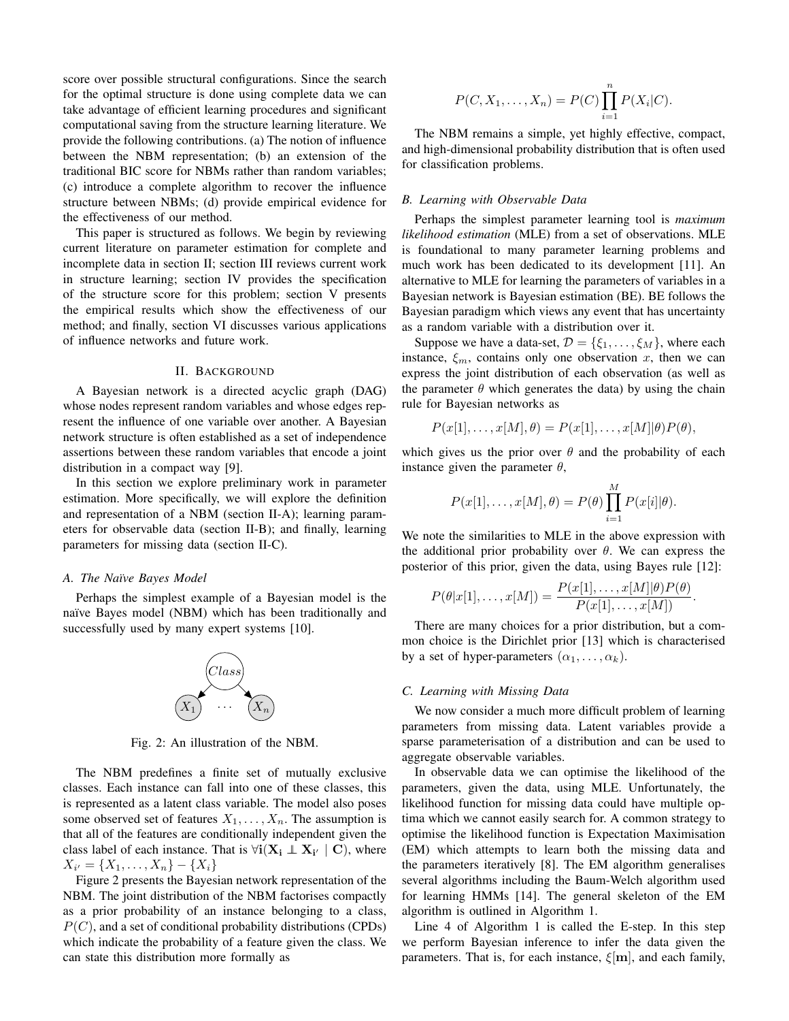score over possible structural configurations. Since the search for the optimal structure is done using complete data we can take advantage of efficient learning procedures and significant computational saving from the structure learning literature. We provide the following contributions. (a) The notion of influence between the NBM representation; (b) an extension of the traditional BIC score for NBMs rather than random variables; (c) introduce a complete algorithm to recover the influence structure between NBMs; (d) provide empirical evidence for the effectiveness of our method.

This paper is structured as follows. We begin by reviewing current literature on parameter estimation for complete and incomplete data in section II; section III reviews current work in structure learning; section IV provides the specification of the structure score for this problem; section V presents the empirical results which show the effectiveness of our method; and finally, section VI discusses various applications of influence networks and future work.

## II. BACKGROUND

A Bayesian network is a directed acyclic graph (DAG) whose nodes represent random variables and whose edges represent the influence of one variable over another. A Bayesian network structure is often established as a set of independence assertions between these random variables that encode a joint distribution in a compact way [9].

In this section we explore preliminary work in parameter estimation. More specifically, we will explore the definition and representation of a NBM (section II-A); learning parameters for observable data (section II-B); and finally, learning parameters for missing data (section II-C).

## *A. The Na¨ıve Bayes Model*

Perhaps the simplest example of a Bayesian model is the naïve Bayes model (NBM) which has been traditionally and successfully used by many expert systems [10].



Fig. 2: An illustration of the NBM.

The NBM predefines a finite set of mutually exclusive classes. Each instance can fall into one of these classes, this is represented as a latent class variable. The model also poses some observed set of features  $X_1, \ldots, X_n$ . The assumption is that all of the features are conditionally independent given the class label of each instance. That is  $\forall i$  ( $X_i \perp X_{i'} | C$ ), where  $X_{i'} = \{X_1, \ldots, X_n\} - \{X_i\}$ 

Figure 2 presents the Bayesian network representation of the NBM. The joint distribution of the NBM factorises compactly as a prior probability of an instance belonging to a class,  $P(C)$ , and a set of conditional probability distributions (CPDs) which indicate the probability of a feature given the class. We can state this distribution more formally as

$$
P(C, X_1, ..., X_n) = P(C) \prod_{i=1}^{n} P(X_i | C).
$$

The NBM remains a simple, yet highly effective, compact, and high-dimensional probability distribution that is often used for classification problems.

#### *B. Learning with Observable Data*

Perhaps the simplest parameter learning tool is *maximum likelihood estimation* (MLE) from a set of observations. MLE is foundational to many parameter learning problems and much work has been dedicated to its development [11]. An alternative to MLE for learning the parameters of variables in a Bayesian network is Bayesian estimation (BE). BE follows the Bayesian paradigm which views any event that has uncertainty as a random variable with a distribution over it.

Suppose we have a data-set,  $\mathcal{D} = \{\xi_1, \ldots, \xi_M\}$ , where each instance,  $\xi_m$ , contains only one observation x, then we can express the joint distribution of each observation (as well as the parameter  $\theta$  which generates the data) by using the chain rule for Bayesian networks as

$$
P(x[1],...,x[M],\theta) = P(x[1],...,x[M]|\theta)P(\theta),
$$

which gives us the prior over  $\theta$  and the probability of each instance given the parameter  $\theta$ ,

$$
P(x[1], \ldots, x[M], \theta) = P(\theta) \prod_{i=1}^{M} P(x[i] | \theta).
$$

We note the similarities to MLE in the above expression with the additional prior probability over  $\theta$ . We can express the posterior of this prior, given the data, using Bayes rule [12]:

$$
P(\theta|x[1],\ldots,x[M]) = \frac{P(x[1],\ldots,x[M]|\theta)P(\theta)}{P(x[1],\ldots,x[M])}.
$$

There are many choices for a prior distribution, but a common choice is the Dirichlet prior [13] which is characterised by a set of hyper-parameters  $(\alpha_1, \ldots, \alpha_k)$ .

# *C. Learning with Missing Data*

We now consider a much more difficult problem of learning parameters from missing data. Latent variables provide a sparse parameterisation of a distribution and can be used to aggregate observable variables.

In observable data we can optimise the likelihood of the parameters, given the data, using MLE. Unfortunately, the likelihood function for missing data could have multiple optima which we cannot easily search for. A common strategy to optimise the likelihood function is Expectation Maximisation (EM) which attempts to learn both the missing data and the parameters iteratively [8]. The EM algorithm generalises several algorithms including the Baum-Welch algorithm used for learning HMMs [14]. The general skeleton of the EM algorithm is outlined in Algorithm 1.

Line 4 of Algorithm 1 is called the E-step. In this step we perform Bayesian inference to infer the data given the parameters. That is, for each instance,  $\xi[\mathbf{m}]$ , and each family,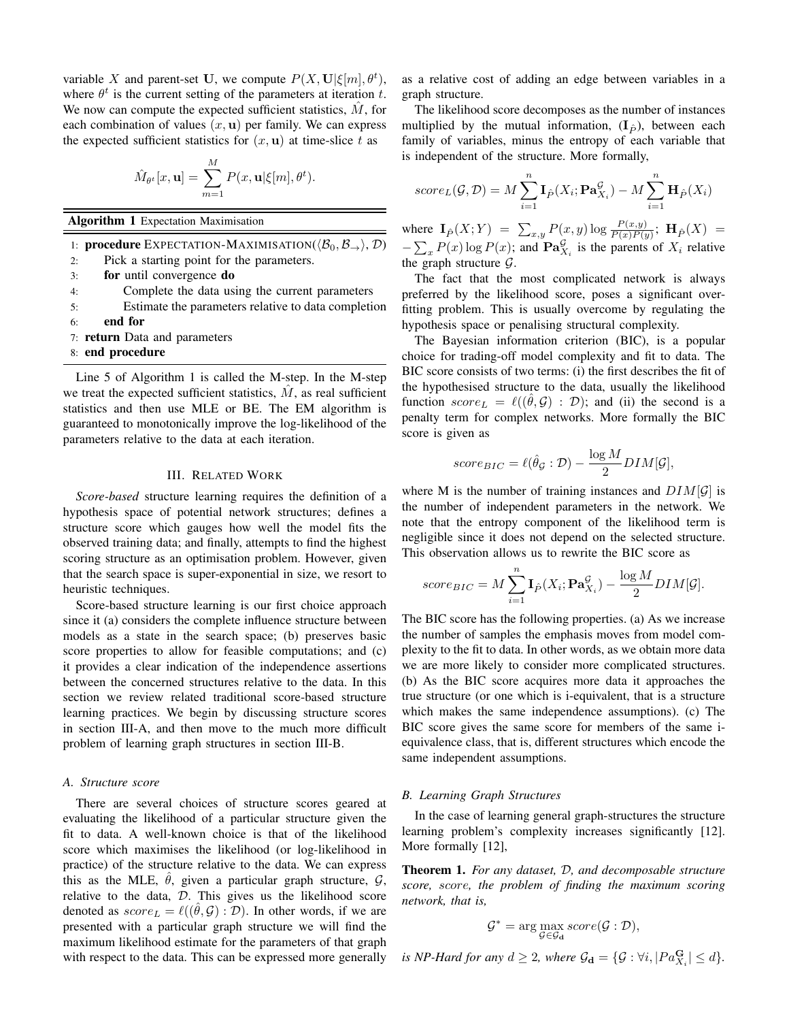variable X and parent-set U, we compute  $P(X, U | \xi[m], \theta^t)$ , where  $\theta^t$  is the current setting of the parameters at iteration t. We now can compute the expected sufficient statistics,  $\tilde{M}$ , for each combination of values  $(x, u)$  per family. We can express the expected sufficient statistics for  $(x, u)$  at time-slice t as

$$
\hat{M}_{\theta^t}[x, \mathbf{u}] = \sum_{m=1}^M P(x, \mathbf{u} | \xi[m], \theta^t).
$$

Algorithm 1 Expectation Maximisation

1: **procedure** EXPECTATION-MAXIMISATION( $\langle \mathcal{B}_0, \mathcal{B}_{\rightarrow} \rangle$ , D)

2: Pick a starting point for the parameters.

3: for until convergence do

4: Complete the data using the current parameters

- 5: Estimate the parameters relative to data completion
- 6: end for
- 7: return Data and parameters
- 8: end procedure

Line 5 of Algorithm 1 is called the M-step. In the M-step we treat the expected sufficient statistics,  $M$ , as real sufficient statistics and then use MLE or BE. The EM algorithm is guaranteed to monotonically improve the log-likelihood of the parameters relative to the data at each iteration.

# III. RELATED WORK

*Score-based* structure learning requires the definition of a hypothesis space of potential network structures; defines a structure score which gauges how well the model fits the observed training data; and finally, attempts to find the highest scoring structure as an optimisation problem. However, given that the search space is super-exponential in size, we resort to heuristic techniques.

Score-based structure learning is our first choice approach since it (a) considers the complete influence structure between models as a state in the search space; (b) preserves basic score properties to allow for feasible computations; and (c) it provides a clear indication of the independence assertions between the concerned structures relative to the data. In this section we review related traditional score-based structure learning practices. We begin by discussing structure scores in section III-A, and then move to the much more difficult problem of learning graph structures in section III-B.

## *A. Structure score*

There are several choices of structure scores geared at evaluating the likelihood of a particular structure given the fit to data. A well-known choice is that of the likelihood score which maximises the likelihood (or log-likelihood in practice) of the structure relative to the data. We can express this as the MLE,  $\theta$ , given a particular graph structure,  $\mathcal{G}$ , relative to the data,  $D$ . This gives us the likelihood score denoted as  $score_L = \ell((\theta, \mathcal{G}) : \mathcal{D})$ . In other words, if we are presented with a particular graph structure we will find the maximum likelihood estimate for the parameters of that graph with respect to the data. This can be expressed more generally as a relative cost of adding an edge between variables in a graph structure.

The likelihood score decomposes as the number of instances multiplied by the mutual information,  $(I_{\hat{P}})$ , between each family of variables, minus the entropy of each variable that is independent of the structure. More formally,

score<sub>L</sub>(
$$
\mathcal{G}, \mathcal{D}
$$
) =  $M \sum_{i=1}^{n} \mathbf{I}_{\hat{P}}(X_i; \mathbf{Pa}_{X_i}^{\mathcal{G}}) - M \sum_{i=1}^{n} \mathbf{H}_{\hat{P}}(X_i)$ 

where  $I_{\hat{P}}(X;Y) = \sum_{x,y} P(x,y) \log \frac{P(x,y)}{P(x)P(y)}$ ;  $H_{\hat{P}}(X) =$  $-\sum_{x} P(x) \log P(x)$ ; and  $\mathbf{Pa}_{X_i}^{\mathcal{G}}$  is the parents of  $X_i$  relative the graph structure  $\mathcal{G}$ .

The fact that the most complicated network is always preferred by the likelihood score, poses a significant overfitting problem. This is usually overcome by regulating the hypothesis space or penalising structural complexity.

The Bayesian information criterion (BIC), is a popular choice for trading-off model complexity and fit to data. The BIC score consists of two terms: (i) the first describes the fit of the hypothesised structure to the data, usually the likelihood function  $score_L = \ell((\theta, \mathcal{G}) : \mathcal{D})$ ; and (ii) the second is a penalty term for complex networks. More formally the BIC score is given as

$$
score_{BIC} = \ell(\hat{\theta}_{\mathcal{G}} : \mathcal{D}) - \frac{\log M}{2} DIM[\mathcal{G}],
$$

where M is the number of training instances and  $DIM[\mathcal{G}]$  is the number of independent parameters in the network. We note that the entropy component of the likelihood term is negligible since it does not depend on the selected structure. This observation allows us to rewrite the BIC score as

score<sub>BIC</sub> = 
$$
M \sum_{i=1}^{n} \mathbf{I}_{\hat{P}}(X_i; \mathbf{Pa}_{X_i}^{\mathcal{G}}) - \frac{\log M}{2} DIM[\mathcal{G}].
$$

The BIC score has the following properties. (a) As we increase the number of samples the emphasis moves from model complexity to the fit to data. In other words, as we obtain more data we are more likely to consider more complicated structures. (b) As the BIC score acquires more data it approaches the true structure (or one which is i-equivalent, that is a structure which makes the same independence assumptions). (c) The BIC score gives the same score for members of the same iequivalence class, that is, different structures which encode the same independent assumptions.

#### *B. Learning Graph Structures*

In the case of learning general graph-structures the structure learning problem's complexity increases significantly [12]. More formally [12],

Theorem 1. *For any dataset,* D*, and decomposable structure score,* score*, the problem of finding the maximum scoring network, that is,*

$$
\mathcal{G}^* = \arg \max_{\mathcal{G} \in \mathcal{G}_{\mathbf{d}}} score(\mathcal{G} : \mathcal{D}),
$$

is NP-Hard for any  $d \geq 2$ , where  $\mathcal{G}_{d} = \{ \mathcal{G} : \forall i, |Pa_{X_i}^{\mathbf{G}}| \leq d \}.$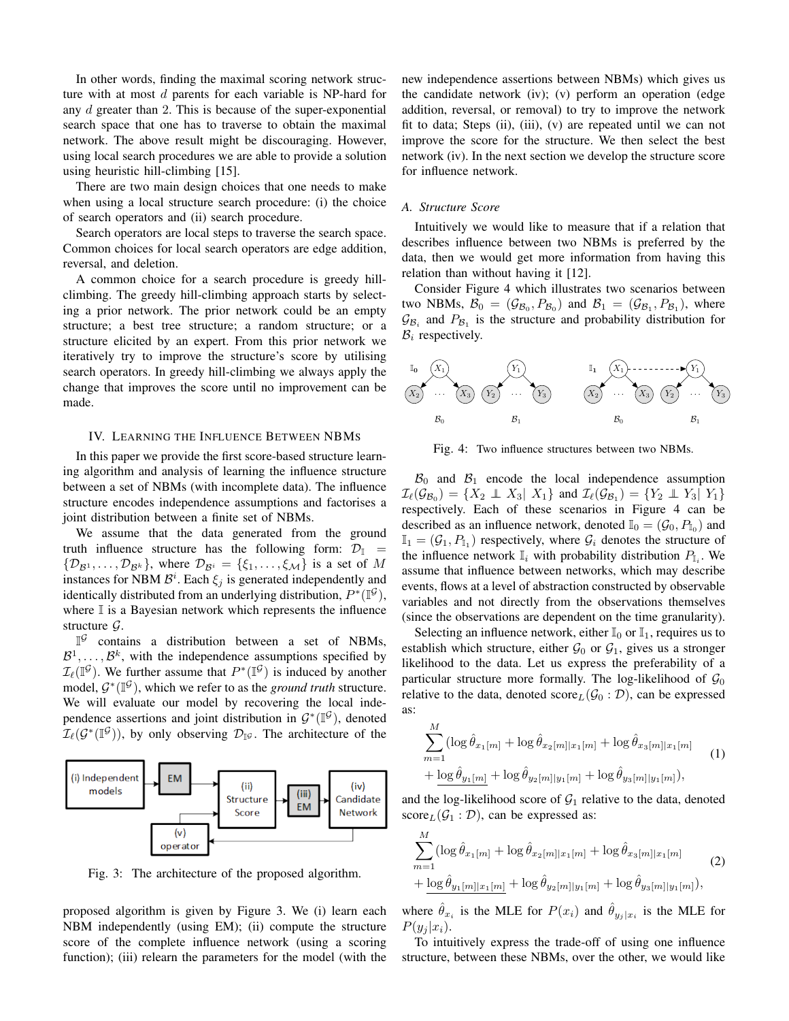In other words, finding the maximal scoring network structure with at most d parents for each variable is NP-hard for any *d* greater than 2. This is because of the super-exponential search space that one has to traverse to obtain the maximal network. The above result might be discouraging. However, using local search procedures we are able to provide a solution using heuristic hill-climbing [15].

There are two main design choices that one needs to make when using a local structure search procedure: (i) the choice of search operators and (ii) search procedure.

Search operators are local steps to traverse the search space. Common choices for local search operators are edge addition, reversal, and deletion.

A common choice for a search procedure is greedy hillclimbing. The greedy hill-climbing approach starts by selecting a prior network. The prior network could be an empty structure; a best tree structure; a random structure; or a structure elicited by an expert. From this prior network we iteratively try to improve the structure's score by utilising search operators. In greedy hill-climbing we always apply the change that improves the score until no improvement can be made.

#### IV. LEARNING THE INFLUENCE BETWEEN NBMS

In this paper we provide the first score-based structure learning algorithm and analysis of learning the influence structure between a set of NBMs (with incomplete data). The influence structure encodes independence assumptions and factorises a joint distribution between a finite set of NBMs.

We assume that the data generated from the ground truth influence structure has the following form:  $\mathcal{D}_{\mathbb{I}}$  =  $\{\mathcal{D}_{\mathcal{B}^1}, \ldots, \mathcal{D}_{\mathcal{B}^k}\}\,$ , where  $\mathcal{D}_{\mathcal{B}^i} = \{\xi_1, \ldots, \xi_{\mathcal{M}}\}\$ is a set of M instances for NBM  $\mathcal{B}^i$ . Each  $\xi_j$  is generated independently and identically distributed from an underlying distribution,  $P^*(\mathbb{I}^{\mathcal{G}})$ , where  $\mathbb I$  is a Bayesian network which represents the influence structure  $\mathcal{G}$ .

 $\mathbb{I}^{\mathcal{G}}$  contains a distribution between a set of NBMs,  $\mathcal{B}^1, \ldots, \mathcal{B}^k$ , with the independence assumptions specified by  $\mathcal{I}_{\ell}(\mathbb{I}^{\mathcal{G}})$ . We further assume that  $P^*(\mathbb{I}^{\mathcal{G}})$  is induced by another model,  $G^*(\mathbb{I}^{\mathcal{G}})$ , which we refer to as the *ground truth* structure. We will evaluate our model by recovering the local independence assertions and joint distribution in  $\mathcal{G}^*(\mathbb{I}^{\mathcal{G}})$ , denoted  $\mathcal{I}_{\ell}(\mathcal{G}^*(\mathbb{I}^{\mathcal{G}}))$ , by only observing  $\mathcal{D}_{\mathbb{I}^{\mathcal{G}}}$ . The architecture of the



Fig. 3: The architecture of the proposed algorithm.

proposed algorithm is given by Figure 3. We (i) learn each NBM independently (using EM); (ii) compute the structure score of the complete influence network (using a scoring function); (iii) relearn the parameters for the model (with the new independence assertions between NBMs) which gives us the candidate network (iv); (v) perform an operation (edge addition, reversal, or removal) to try to improve the network fit to data; Steps (ii), (iii), (v) are repeated until we can not improve the score for the structure. We then select the best network (iv). In the next section we develop the structure score for influence network.

## *A. Structure Score*

Intuitively we would like to measure that if a relation that describes influence between two NBMs is preferred by the data, then we would get more information from having this relation than without having it [12].

Consider Figure 4 which illustrates two scenarios between two NBMs,  $\mathcal{B}_0 = (\mathcal{G}_{\mathcal{B}_0}, P_{\mathcal{B}_0})$  and  $\mathcal{B}_1 = (\mathcal{G}_{\mathcal{B}_1}, P_{\mathcal{B}_1})$ , where  $\mathcal{G}_{\mathcal{B}_i}$  and  $P_{\mathcal{B}_1}$  is the structure and probability distribution for  $B_i$  respectively.



Fig. 4: Two influence structures between two NBMs.

 $\mathcal{B}_0$  and  $\mathcal{B}_1$  encode the local independence assumption  $\mathcal{I}_{\ell}(\mathcal{G}_{\mathcal{B}_0}) = \{X_2 \perp \!\!\! \perp X_3 | X_1\}$  and  $\mathcal{I}_{\ell}(\mathcal{G}_{\mathcal{B}_1}) = \{Y_2 \perp \!\!\! \perp Y_3 | Y_1\}$ respectively. Each of these scenarios in Figure 4 can be described as an influence network, denoted  $\mathbb{I}_0 = (\mathcal{G}_0, P_{\mathbb{I}_0})$  and  $\mathbb{I}_{1} = (\mathcal{G}_{1}, P_{\mathbb{I}_{1}})$  respectively, where  $\mathcal{G}_{i}$  denotes the structure of the influence network  $\mathbb{I}_i$  with probability distribution  $P_{\mathbb{I}_i}$ . We assume that influence between networks, which may describe events, flows at a level of abstraction constructed by observable variables and not directly from the observations themselves (since the observations are dependent on the time granularity).

Selecting an influence network, either  $\mathbb{I}_0$  or  $\mathbb{I}_1$ , requires us to establish which structure, either  $\mathcal{G}_0$  or  $\mathcal{G}_1$ , gives us a stronger likelihood to the data. Let us express the preferability of a particular structure more formally. The log-likelihood of  $\mathcal{G}_0$ relative to the data, denoted  $score_L(\mathcal{G}_0 : \mathcal{D})$ , can be expressed as:

$$
\sum_{m=1}^{M} (\log \hat{\theta}_{x_1[m]} + \log \hat{\theta}_{x_2[m] | x_1[m]} + \log \hat{\theta}_{x_3[m] | x_1[m]} + \log \hat{\theta}_{y_1[m]} + \log \hat{\theta}_{y_2[m] | y_1[m]} + \log \hat{\theta}_{y_3[m] | y_1[m]}),
$$
\n(1)

and the log-likelihood score of  $G_1$  relative to the data, denoted  $score_L(\mathcal{G}_1 : \mathcal{D})$ , can be expressed as:

$$
\sum_{m=1}^{M} (\log \hat{\theta}_{x_1[m]} + \log \hat{\theta}_{x_2[m]|x_1[m]} + \log \hat{\theta}_{x_3[m]|x_1[m]} + \log \hat{\theta}_{y_1[m]|x_1[m]} + \log \hat{\theta}_{y_2[m]|y_1[m]} + \log \hat{\theta}_{y_3[m]|y_1[m]}),
$$
\n(2)

where  $\hat{\theta}_{x_i}$  is the MLE for  $P(x_i)$  and  $\hat{\theta}_{y_j|x_i}$  is the MLE for  $P(y_i | x_i)$ .

To intuitively express the trade-off of using one influence structure, between these NBMs, over the other, we would like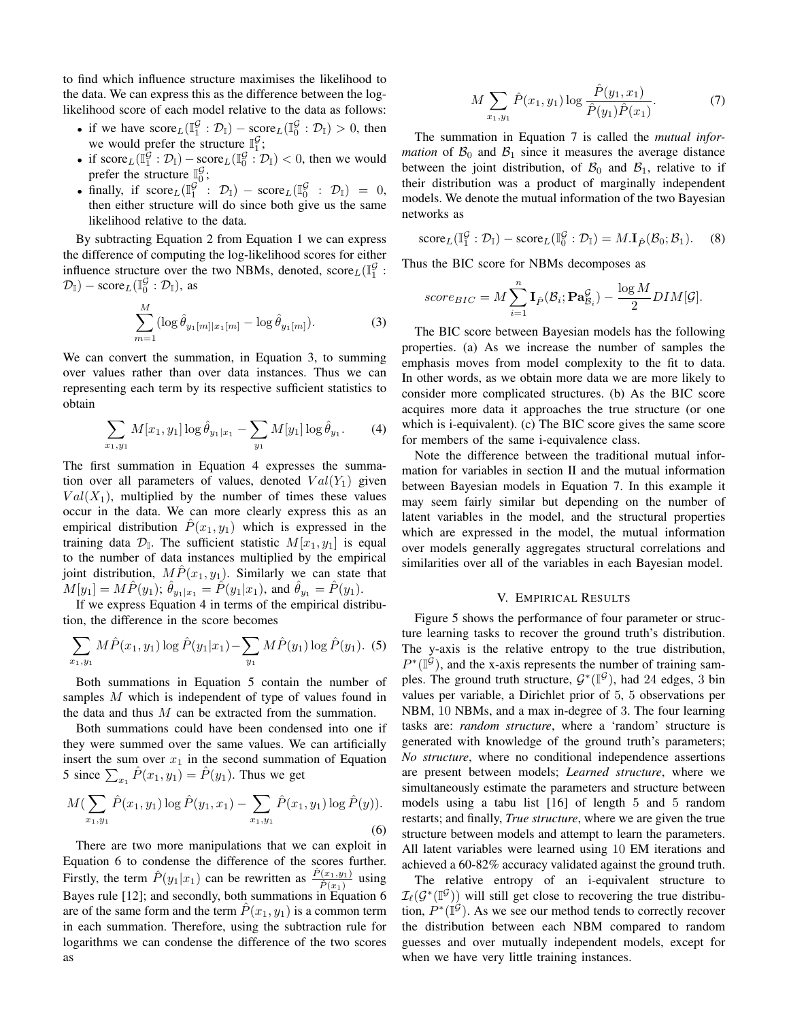to find which influence structure maximises the likelihood to the data. We can express this as the difference between the loglikelihood score of each model relative to the data as follows:

- if we have  $score_L(\mathbb{I}_1^{\mathcal{G}} : \mathcal{D}_\mathbb{I}) score_L(\mathbb{I}_0^{\mathcal{G}} : \mathcal{D}_\mathbb{I}) > 0$ , then we would prefer the structure  $\mathbb{I}_1^{\mathcal{G}}$ ;
- if score  $L(\mathbb{I}_{1}^{\mathcal{G}} : \mathcal{D}_{\mathbb{I}}) -$  score  $L(\mathbb{I}_{0}^{\mathcal{G}} : \mathcal{D}_{\mathbb{I}}) < 0$ , then we would prefer the structure  $\mathbb{I}_{0}^{\mathcal{G}}$ ;
- finally, if  $score_L(\mathbb{I}_1^{\mathcal{G}} : \mathcal{D}_{\mathbb{I}}) score_L(\mathbb{I}_0^{\mathcal{G}} : \mathcal{D}_{\mathbb{I}}) = 0$ , then either structure will do since both give us the same likelihood relative to the data.

By subtracting Equation 2 from Equation 1 we can express the difference of computing the log-likelihood scores for either influence structure over the two NBMs, denoted,  $score_L(\mathbb{I}_1^{\mathcal{G}})$ :  $(\mathcal{D}_{\mathbb{I}}) - \text{score}_{L}(\mathbb{I}_{0}^{\mathcal{G}} : \mathcal{D}_{\mathbb{I}}),$  as

$$
\sum_{m=1}^{M} (\log \hat{\theta}_{y_1[m]|x_1[m]} - \log \hat{\theta}_{y_1[m]}).
$$
 (3)

We can convert the summation, in Equation 3, to summing over values rather than over data instances. Thus we can representing each term by its respective sufficient statistics to obtain

$$
\sum_{x_1, y_1} M[x_1, y_1] \log \hat{\theta}_{y_1|x_1} - \sum_{y_1} M[y_1] \log \hat{\theta}_{y_1}.
$$
 (4)

The first summation in Equation 4 expresses the summation over all parameters of values, denoted  $Val(Y_1)$  given  $Val(X_1)$ , multiplied by the number of times these values occur in the data. We can more clearly express this as an empirical distribution  $P(x_1, y_1)$  which is expressed in the training data  $\mathcal{D}_{\mathbb{I}}$ . The sufficient statistic  $M[x_1, y_1]$  is equal to the number of data instances multiplied by the empirical joint distribution,  $M\hat{P}(x_1, y_1)$ . Similarly we can state that  $M[y_1] = M\hat{P}(y_1); \, \hat{\theta}_{y_1|x_1} = \hat{P}(y_1|x_1)$ , and  $\hat{\theta}_{y_1} = \hat{P}(y_1)$ .

If we express Equation 4 in terms of the empirical distribution, the difference in the score becomes

$$
\sum_{x_1, y_1} M\hat{P}(x_1, y_1) \log \hat{P}(y_1|x_1) - \sum_{y_1} M\hat{P}(y_1) \log \hat{P}(y_1).
$$
 (5)

Both summations in Equation 5 contain the number of samples M which is independent of type of values found in the data and thus  $M$  can be extracted from the summation.

Both summations could have been condensed into one if they were summed over the same values. We can artificially insert the sum over  $x_1$  in the second summation of Equation 5 since  $\sum_{x_1} \hat{P}(x_1, y_1) = \hat{P}(y_1)$ . Thus we get

$$
M\left(\sum_{x_1,y_1}\hat{P}(x_1,y_1)\log\hat{P}(y_1,x_1)-\sum_{x_1,y_1}\hat{P}(x_1,y_1)\log\hat{P}(y)\right).
$$
\n(6)

There are two more manipulations that we can exploit in Equation 6 to condense the difference of the scores further. Firstly, the term  $\hat{P}(y_1|x_1)$  can be rewritten as  $\frac{\hat{P}(x_1,y_1)}{\hat{P}(x_1)}$  using Bayes rule [12]; and secondly, both summations in  $\tilde{E}_{q}^{(1)}$  ation 6 are of the same form and the term  $P(x_1, y_1)$  is a common term in each summation. Therefore, using the subtraction rule for logarithms we can condense the difference of the two scores as

$$
M \sum_{x_1, y_1} \hat{P}(x_1, y_1) \log \frac{\hat{P}(y_1, x_1)}{\hat{P}(y_1)\hat{P}(x_1)}.
$$
 (7)

The summation in Equation 7 is called the *mutual information* of  $\mathcal{B}_0$  and  $\mathcal{B}_1$  since it measures the average distance between the joint distribution, of  $\mathcal{B}_0$  and  $\mathcal{B}_1$ , relative to if their distribution was a product of marginally independent models. We denote the mutual information of the two Bayesian networks as

score<sub>L</sub>(
$$
\mathbb{I}_1^{\mathcal{G}} : \mathcal{D}_{\mathbb{I}}
$$
) - score<sub>L</sub>( $\mathbb{I}_0^{\mathcal{G}} : \mathcal{D}_{\mathbb{I}}$ ) =  $M.\mathbf{I}_{\hat{P}}(\mathcal{B}_0; \mathcal{B}_1)$ . (8)

Thus the BIC score for NBMs decomposes as

score<sub>BIC</sub> = 
$$
M \sum_{i=1}^{n} \mathbf{I}_{\hat{P}}(\mathcal{B}_i; \mathbf{Pa}_{\mathcal{B}_i}^{\mathcal{G}}) - \frac{\log M}{2} DIM[\mathcal{G}].
$$

The BIC score between Bayesian models has the following properties. (a) As we increase the number of samples the emphasis moves from model complexity to the fit to data. In other words, as we obtain more data we are more likely to consider more complicated structures. (b) As the BIC score acquires more data it approaches the true structure (or one which is i-equivalent). (c) The BIC score gives the same score for members of the same i-equivalence class.

Note the difference between the traditional mutual information for variables in section II and the mutual information between Bayesian models in Equation 7. In this example it may seem fairly similar but depending on the number of latent variables in the model, and the structural properties which are expressed in the model, the mutual information over models generally aggregates structural correlations and similarities over all of the variables in each Bayesian model.

## V. EMPIRICAL RESULTS

Figure 5 shows the performance of four parameter or structure learning tasks to recover the ground truth's distribution. The y-axis is the relative entropy to the true distribution,  $P^*(\mathbb{I}^{\mathcal{G}})$ , and the x-axis represents the number of training samples. The ground truth structure,  $\mathcal{G}^*(\mathbb{I}^{\mathcal{G}})$ , had 24 edges, 3 bin values per variable, a Dirichlet prior of 5, 5 observations per NBM, 10 NBMs, and a max in-degree of 3. The four learning tasks are: *random structure*, where a 'random' structure is generated with knowledge of the ground truth's parameters; *No structure*, where no conditional independence assertions are present between models; *Learned structure*, where we simultaneously estimate the parameters and structure between models using a tabu list [16] of length 5 and 5 random restarts; and finally, *True structure*, where we are given the true structure between models and attempt to learn the parameters. All latent variables were learned using 10 EM iterations and achieved a 60-82% accuracy validated against the ground truth.

The relative entropy of an i-equivalent structure to  $\mathcal{I}_{\ell}(\mathcal{G}^*(\mathbb{I}^{\mathcal{G}}))$  will still get close to recovering the true distribution,  $P^*(\mathbb{I}^{\mathcal{G}})$ . As we see our method tends to correctly recover the distribution between each NBM compared to random guesses and over mutually independent models, except for when we have very little training instances.